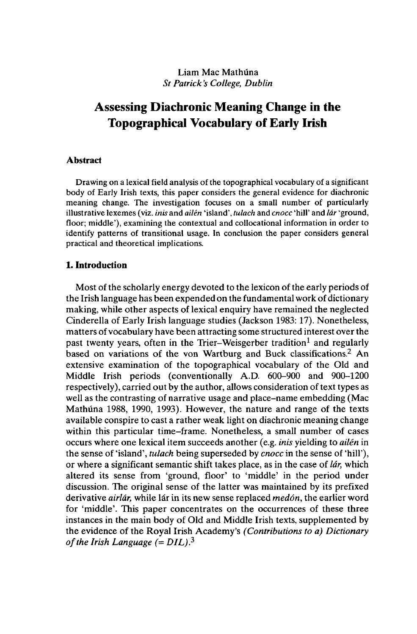# Liam Mac Mathüna *St Patrick's College, Dublin*

# **Assessing Diachronie Meaning Change in the Topographical Vocabulary of Early Irish**

#### **Abstract**

Drawing on a lexical field analysis of the topographical vocabulary of a significant body of Early Irish texts, this paper considers the general evidence for diachronic meaning change. The investigation focuses on a small number of particularly illustrative lexemes (viz. *inis* and *ailén* 'island', *tulach* and *cnocc* 'hill' and *lâr* 'ground, floor; middle'), examining the contextual and collocational information in order to identify patterns of transitional usage. In conclusion the paper considers general practical and theoretical implications.

## **1. Introduction**

Most of the scholarly energy devoted to the lexicon of the early periods of the Irish language has been expended on the fundamental work of dictionary making, while other aspects of lexical enquiry have remained the neglected Cinderella of Early Irish language studies (Jackson 1983:17). Nonetheless, matters of vocabulary have been attracting some structured interest over the past twenty years, often in the Trier-Weisgerber tradition<sup>1</sup> and regularly based on variations of the von Wartburg and Buck classifications.<sup>2</sup> An extensive examination of the topographical vocabulary of the Old and Middle Irish periods (conventionally A.D. 600-900 and 900-1200 respectively), carried out by the author, allows consideration of text types as well as the contrasting of narrative usage and place-name embedding (Mac Mathüna 1988, 1990, 1993). However, the nature and range of the texts available conspire to cast a rather weak light on diachronic meaning change within this particular time-frame. Nonetheless, a small number of cases occurs where one lexical item succeeds another (e.g. *inis* yielding to *ailén* in the sense of 'island', *tulach* being superseded by *cnocc* in the sense of 'hill'), or where a significant semantic shift takes place, as in the case of *lâr,* which altered its sense from 'ground, floor' to 'middle' in the period under discussion. The original sense of the latter was maintained by its prefixed derivative *airlâr,* while lâr in its new sense replaced *medôn,* the earlier word for 'middle'. This paper concentrates on the occurrences of these three instances in the main body of Old and Middle Irish texts, supplemented by the evidence of the Royal Irish Academy's *(Contributions to a) Dictionary of the Irish Language*  $(= DIL).$ <sup>3</sup>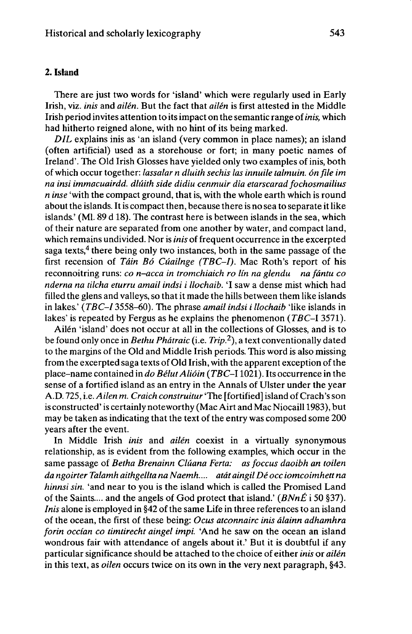# **2. Island**

There are just two words for 'island' which were regularly used in Early Irish, viz. *inis* and *alien.* But the fact that *alien* is first attested in the Middle Irish period invites attention to its impact on the semantic range of *inis*, which had hitherto reigned alone, with no hint of its being marked.

*DIL* explains inis as 'an island (very common in place names); an island (often artificial) used as a storehouse or fort; in many poetic names of Ireland'. The Old Irish Glosses have yielded only two examples of inis, both of which occur together: *lassalar n dlulth sechls las Innulle talmuln. on file Im na insl immacuairdd. dlûlth side dldlu cenmulr dla etarscarad fochosmailius n inse* 'with the compact ground, that is, with the whole earth which is round about the islands. It is compact then, because there is no sea to separate it like islands.' (Ml. 89 d 18). The contrast here is between islands in the sea, which of their nature are separated from one another by water, and compact land, which remains undivided. Nor is *inis* of frequent occurrence in the excerpted saga texts,<sup>4</sup> there being only two instances, both in the same passage of the first recension of *Tâln Bô Cûailnge (TBC-I).* Mac Roth's report of his reconnoitring runs: *co n-acca in tromchialch ro lin na glendu na fântu co nderna na tllcha eturru amall indsi <sup>I</sup> llochalb.* 'I saw a dense mist which had filled the glens and valleys, so that it made the hills between them like islands in lakes.' *{TBC-I* 3558-60). The phrase *amall indsi i llochalb* 'like islands in lakes' is repeated by Fergus as he explains the phenomenon *(TBC-I* 3571).

Ailén 'island' does not occur at all in the collections of Glosses, and is to be found only once in *Bethu Phûtralc* (i.e. *Trip?-),* a text conventionally dated to the margins of the Old and Middle Irish periods. This word is also missing from the excerpted saga texts of Old Irish, with the apparent exception of the place-name contained in *do BélutAllôin (TBC-l* 1021). Its occurrence in the sense of a fortified island as an entry in the Annals of Ulster under the year A.D. 725, i.e. *Allen m. Craich construitur* "The [fortified] island ofCrach'sson is constructed' is certainly noteworthy (Mac Airt and Mac Niocaill 1983), but may be taken as indicating that the text of the entry was composed some 200 years after the event.

In Middle Irish *inis* and *ailén* coexist in a virtually synonymous relationship, as is evident from the following examples, which occur in the same passage of *Betha Brenainn Cluana Ferta: as foccus daolbh an tollen da ngolrter Talamh althgellta na Naemh.... atât alngll Déocc lomcolmhett na hinnsi sin.* 'and near to you is the island which is called the Promised Land of the Saints.... and the angels of God protect that island.' *(BNnÉ* <sup>i</sup> 50 §37). *Inis* alone is employed in §42 of the same Life in three references to an island of the ocean, the first of these being: *Ocus atconnairc Inis âlainn adhamhra forin occian co timtirecht aingel impi.* 'And he saw on the ocean an island wondrous fair with attendance of angels about it.' But it is doubtful if any particular significance should be attached to the choice of either *inis* or *ailén* in this text, as *oilen* occurs twice on its own in the very next paragraph, §43.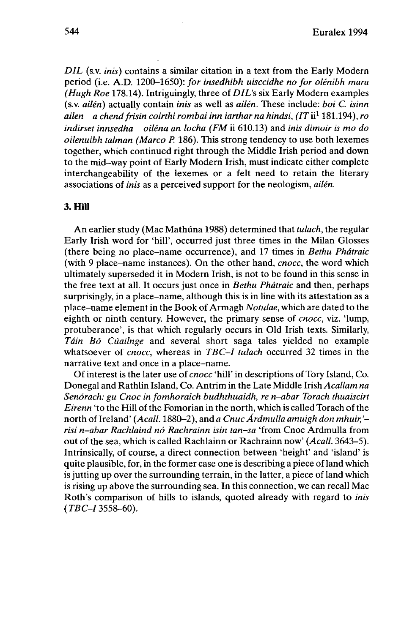*DIL* (s.v. *inis*) contains a similar citation in a text from the Early Modern period (i.e. A.D. 1200-1650): *for insedhibh uisccidhe no for olénibh mara (Hugh Roe* 178.14). Intriguingly, three of *DIL's* six Early Modern examples (s.v. *ailén)* actually contain *inis* as well as *ailén.* These include: *boi C. isinn ailen a chendfrisin coirthi rombai inn iartharna hindsi, (ITu<sup>1</sup>* 181.194), *ro indirset innsedha oiléna an locha (FM* ii 610.13) and *inis dimoir is mo do oilenuibh talman (Marco P.* 186). This strong tendency to use both lexemes together, which continued right through the Middle Irish period and down to the mid-way point of Early Modern Irish, must indicate either complete interchangeability of the lexemes or a felt need to retain the literary associations of *inis* as a perceived support for the neologism, *ailén.*

### **3. Hill**

An earlier study (Mac Mathüna 1988) determined that *tulach,* the regular Early Irish word for 'hill', occurred just three times in the Milan Glosses (there being no place-name occurrence), and 17 times in *Bethu Phâtraic* (with 9 place-name instances). On the other hand, *cnocc,* the word which ultimately superseded it in Modern Irish, is not to be found in this sense in the free text at all. It occurs just once in *Bethu Phâtraic* and then, perhaps surprisingly, in a place-name, although this is in line with its attestation as a place-name elementin the Book of Armagh *Notulae,* which are dated to the eighth or ninth century. However, the primary sense of *cnocc,* viz. 'lump, protuberance', is that which regularly occurs in Old Irish texts. Similarly, *Tâin Bô Cûailnge* and several short saga tales yielded no example whatsoever of *cnocc,* whereas in *TBC-I tulach* occurred 32 times in the narrative text and once in a place-name.

Ofinterest is the later use of *cnocc* 'hill' in descriptions of Tory Island, Co. Donegal and Rathlin Island, Co. Antrim in the Late Middle Irish *Acallam na Senôrach: gu Cnoc in fomhoraich budhthuaidh, re n-abar Torach thuaiscirt Eirenn* 'to the Hill of the Fomorian in the north, which is called Torach of the north of Ireland' *(Acall.* 1880-2), and *a Cnuc Ârdmulla amuigh don mhuir, ' risi n-abar Rachlaind nö Rachrainn isin tan•sa* 'from Cnoc Ardmulla from out of the sea, which is called Rachlainn or Rachrainn now' *(Acall.* 3643-5). Intrinsically, of course, a direct connection between 'height' and 'island' is quite plausible, for, in the former case one is describing a piece of land which is jutting up over the surrounding terrain, in the latter, a piece of land which is rising up above the surrounding sea. In this connection, we can recall Mac Roth's comparison of hills to islands, quoted already with regard to *inis (TBC-I* 3558-60).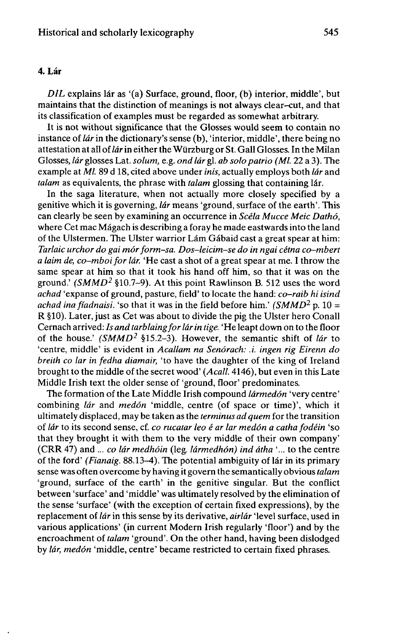## 4. **Lér**

*DIL* explains lâr as '(a) Surface, ground, floor, (b) interior, middle', but maintains that the distinction of meanings is not always clear-cut, and that its classification of examples must be regarded as somewhat arbitrary.

It is not without significance that the Glosses would seem to contain no instance of *lâr* in the dictionary's sense (b), 'interior, middle', there being no attestation at all of*lâr*in either the Würzburg or St. Gall Glosses. In the Milan Glosses, *lâr* glosses Lat. *solum,* e.g. *ond lâr* gl. *ab solopatrio (Ml.* 22 a 3). The example at *Ml.* 89 d 18, cited above under *inis,* actually employs both *lâr* and *talam* as equivalents, the phrase with *talam* glossing that containing lár.

In the saga literature, when not actually more closely specified by a genitive which it is governing, *lâr* means 'ground, surface of the earth'. This can clearly be seen by examining an occurrence in *Scéla Mucce Meic Dathô,* where Cet mac Mâgach is describing a foray he made eastwards into the land of the Ulstermen. The Ulster warrior Lâm Gâbaid cast a great spear at him: *Tarlaic urchor do gai môrform-sa. Dos-leicim-se do in ngai cétna co-mbert a laim de, co-mboifor lâr.* 'He cast a shot of a great spear at me. I throw the same spear at him so that it took his hand off him, so that it was on the ground.' *(SMMD<sup>2</sup>* §10.7–9). At this point Rawlinson B. 512 uses the word *achad* 'expanse of ground, pasture, field' to locate the hand: *co-raib hi isind achad ina fiadnaisi.* 'so that it was in the field before him.' *(SMMD<sup>2</sup>* p. 10 = R §10). Later, just as Cet was about to divide the pig the Ulster hero Conall Cernach arrived: *Is and tarblaingforlârin tige.* 'He leapt down on to the floor of the house.' *(SMMD<sup>2</sup>* §15.2-3). However, the semantic shift of *lâr* to 'centre, middle' is evident in *Acallam na Senôrach: .i. ingen rig Eirenn do breith co lar in fedha diamair,* 'to have the daughter of the king of Ireland brought to the middle of the secret wood' (Acall. 4146), but even in this Late Middle Irish text the older sense of 'ground, floor' predominates.

The formation of the Late Middle Irish compound *lârmedôn* 'very centre' combining *lâr* and *medôn* 'middle, centre (of space or time)', which it ultimately displaced, may be taken as the *terminus ad quern* for the transition of *lâr* to its second sense, cf. *co rucatar leo é ar lar medôn a catha fodéin* 'so that they brought it with them to the very middle of their own company' (CRR 47) and ... *co lâr medhôin* (leg *lârmedhôn) ind âtha* '... to the centre of the ford' *(Fianaig.* 88.13-4). The potential ambiguity of lâr in its primary sense was often overcome by having it govern the semantically obvious*talam* 'ground, surface of the earth' in the genitive singular. But the conflict between 'surface' and 'middle' was ultimately resolved by the elimination of the sense 'surface' (with the exception of certain fixed expressions), by the replacement of *lâr* in this sense by its derivative, *airlâr* 'level surface, used in various applications' (in current Modern Irish regularly 'floor') and by the encroachment of *talam* 'ground'. On the other hand, having been dislodged by *lâr, medôn* 'middle, centre' became restricted to certain fixed phrases.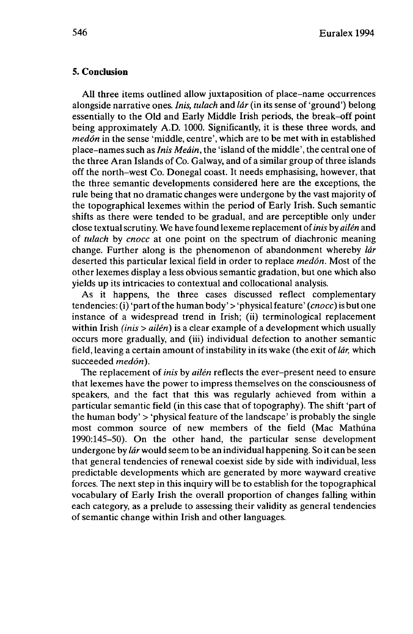## **5. Conclusion**

AU three items outlined allow juxtaposition of place-name occurrences alongside narrative ones. *Inis, tulach* and *lâr* (in its sense of 'ground') belong essentially to the Old and Early Middle Irish periods, the break-off point being approximately A.D. 1000. Significantly, it is these three words, and *medôn* in the sense 'middle, centre', which are to be met with in established place-names such as *Inis Meâin,* the 'island of the middle', the central one of the three Aran Islands of Co. Galway, and of a similar group of three islands off the north-west Co. Donegal coast. It needs emphasising, however, that the three semantic developments considered here are the exceptions, the rule being that no dramatic changes were undergone by the vast majority of the topographical lexemes within the period of Early Irish. Such semantic shifts as there were tended to be gradual, and are perceptible only under close textual scrutiny. We have found lexeme replacement of*inis* by *ailén* and of *tulach* by *cnocc* at one point on the spectrum of diachronic meaning change. Further along is the phenomenon of abandonment whereby *lâr* deserted this particular lexical field in order to replace *medôn.* Most of the other lexemes display a less obvious semantic gradation, but one which also yields up its intricacies to contextual and collocational analysis.

As it happens, the three cases discussed reflect complementary tendencies: (i) 'part ofthe human body' > 'physical feature' *(cnocc)* is but one instance of a widespread trend in Irish; (ii) terminological replacement within Irish *(inis > ailén)* is a clear example of a development which usually occurs more gradually, and (iii) individual defection to another semantic field, leaving a certain amount of instability in its wake (the exit of *lár*, which succeeded *medôn).*

The replacement of *inis* by *ailén* reflects the ever-present need to ensure that lexemes have the power to impress themselves on the consciousness of speakers, and the fact that this was regularly achieved from within a particular semantic field (in this case that of topography). The shift 'part of the human body' > 'physical feature of the landscape' is probably the single most common source of new members of the field (Mac Mathüna 1990:145-50). On the other hand, the particular sense development undergone by *lâr* would seem to be an individual happening. So it can be seen that general tendencies of renewal coexist side by side with individual, less predictable developments which are generated by more wayward creative forces. The next step in this inquiry will be to establish for the topographical vocabulary of Early Irish the overall proportion of changes falling within each category, as a prelude to assessing their validity as general tendencies of semantic change within Irish and other languages.